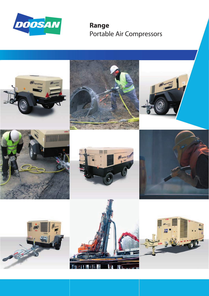

**Range** Portable Air Compressors

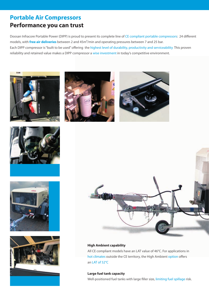## **Portable Air Compressors Performance you can trust**

Doosan Infracore Portable Power (DIPP) is proud to present its complete line of CE compliant portable compressors: 24 different models, with **free air deliveries** between 2 and 45m<sup>3</sup>/min and operating pressures between 7 and 25 bar. Each DIPP compressor is "built to be used" offering the highest level of durability, productivity and serviceability This proven reliability and retained value makes a DIPP compressor a wise investment in today's competitive environment.















### **High Ambient capability**

All CE compliant models have an LAT value of 46°C. For applications in hot climates outside the CE territory, the High Ambient option offers an LAT of 52°C

### **Large fuel tank capacity**

Well-positioned fuel tanks with large filler size, limiting fuel spillage risk.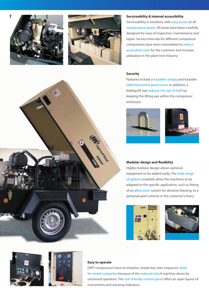



#### **Serviceability & internal accessibility**

Serviceability is excellent, with easy access to all maintenance points. All areas have been carefully designed for ease of inspection, maintenance and repair. Service intervals for different compressor components have been rationalized to reduce associated costs for the customer and increase utilization in the plant hire industry.

#### **Security**

Features include a lockable canopy and lockable steel instrument panel cover. In addition, a folding lift bail reduces the risk of theft by keeping the lifting eye within the compressor enclosure.





#### **Modular design and flexibility**

Highly modular design allows optional equipment to be added easily. The wide range of options available allow the machines to be adapted to the specific application, such as fitting of an aftercooler system for abrasive blasting, to a personal paint scheme in the customer's livery.









#### **Easy to operate**

DIPP compressors have an intuitive, simple key-start sequence. Ideal for rental companies because of the reduced risk of machine abuse by untrained operators. The user-friendly control panel offers an open layout of instruments and warning indicators.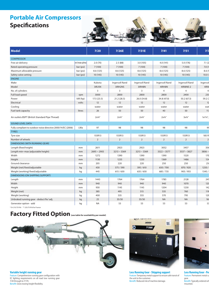## **Portable Air Compressors Specifications**



| <b>Model</b>                                                 |                           | 7/20             | 7/26E                    | 7/31E                   | 7/41             | 7/51           | 7/7               |
|--------------------------------------------------------------|---------------------------|------------------|--------------------------|-------------------------|------------------|----------------|-------------------|
| <b>COMPRESSOR</b>                                            |                           |                  |                          |                         |                  |                |                   |
| Free air delivery                                            | m <sup>3</sup> /min (cfm) | 2.0(70)          | 2.5(88)                  | 3.0(105)                | 4.0(141)         | 5.0 (176)      | 7.1(2)            |
| Rated operating pressure                                     | $\vert$ bar (psi)         | 7 (100)          | 7 (100)                  | 7 (100)                 | 7 (100)          | 7 (100)        | 7.0(1)            |
| Maximum allowable pressure                                   | $\vert$ bar (psi)         | 8.6 (125)        | 8.6 (125)                | 8.6 (125)               | 8.6(125)         | 8.6 (125)      | 8.6(1)            |
| Safety valve setting                                         | $\vert$ bar (psi)         | 10 (145)         | 10 (145)                 | 10 (145)                | 10 (145)         | 10 (145)       | 10.0 <sub>0</sub> |
| ENGINE                                                       |                           |                  |                          |                         |                  |                |                   |
| Make                                                         |                           | Kubota           | Ingersoll Rand           | Ingersoll Rand          | Ingersoll Rand   | Ingersoll Rand | Ingersol          |
| Model                                                        |                           | 3IRJ5N           | 3IRH2NS                  | 3IRH8N                  | 4IRH8N           | 4IRI8NE-2      | 4IRI              |
| No. of cylinders                                             |                           |                  | $\overline{\phantom{0}}$ | $\overline{\mathbf{3}}$ | 4                | $\overline{4}$ |                   |
| Full load speed                                              | rpm                       | 3000             | 2800                     | 2800                    | 2800             | 2400           | 230               |
| Power                                                        | kW (hp)                   | 17.5 (23.5)      | 21.2(28.5)               | 26.0 (34.8)             | 34.8 (47.0)      | 50.2 (67.3)    | 59.2 (7           |
| Electrical                                                   | volts                     | 12               | 12                       | 12                      | 12               | 12             | $\overline{1}$    |
| Cooling                                                      |                           | water            | water                    | water                   | water            | water          | wat               |
| Fuel tank capacity                                           | litres                    | 26               | 50                       | 50                      | 40               | 50             | $-11$             |
|                                                              |                           |                  |                          |                         |                  |                |                   |
| Air outlets BSPT (British Standard Pipe Thread)              |                           | $2x^{3/4}$ "     | $2x^{3/4}$ "             | $2x^{3/4}$ "            | $2x^{3/4}$ "     | $3x^{3/4}$     | $1x1\frac{1}{4}$  |
| SOUND LEVEL DATA                                             |                           |                  |                          |                         |                  |                |                   |
| Fully compliant to outdoor noise directive 2000/14/EC (2006) | LWa                       | 97               | 98                       | 98                      | 98               | 98             | $\mathbf{Q}$      |
| <b>TYRES</b>                                                 |                           |                  |                          |                         |                  |                |                   |
| Tyre size                                                    |                           | 155R13           | 155R13                   | 155R13                  | 155R13           | 155R13         | 185 R             |
| Number of wheels                                             |                           |                  | $\overline{2}$           | $\overline{2}$          |                  | $\overline{2}$ |                   |
| DIMENSIONS (WITH RUNNING GEAR)                               |                           |                  |                          |                         |                  |                |                   |
| Length (fixed height)                                        | mm                        | 2611             | 2923                     | 2923                    | 3052             | 3457           |                   |
| Length min~max (adjustable height)                           | mm                        | $2695 \sim 2905$ | $3213 \sim 3369$         | $3213 \sim 3369$        | $3322 \sim 3577$ | $3537 - 3827$  | $3806 \sim$       |
| Width                                                        | mm                        | 1272             | 1390                     | 1390                    | 1390             | 1520           | 170               |
| Height                                                       | mm                        | 1130             | 1235                     | 1235                    | 1369             | 1486           | 154               |
| Ground clearance                                             | mm                        | 205              | 220                      | 220                     | 250              | 250            | 25                |
| Weight (net) fixed/adjustable                                | kg                        | 430              | 575 / 590                | 595/610                 | 650/700          | 870 / 920      | 1250/             |
| Weight (working) fixed/adjustable                            | kg                        | 445              | 615/630                  | 635 / 650               | 685 / 735        | 905 / 955      | 1345 /            |
| <b>DIMENSIONS (ON SHIPPING SUPPORT)</b>                      |                           |                  |                          |                         |                  |                |                   |
| Length                                                       | mm                        | 1443             | 1764                     | 1764                    | 1785             | 2128           |                   |
| Width                                                        | mm                        | 940              | 940                      | 940                     | 940              | 1070           | 12 <sub>C</sub>   |
| Height                                                       | mm                        | 930              | 1145                     | 1145                    | 1204             | 1230           | 142               |
| Weight (net)                                                 | kg                        | 385              | 495                      | 515                     | 535              | 760            | 119               |
|                                                              |                           | 400              | 535                      | 555                     | 570              | 795            | <b>129</b>        |
| Weight (working)                                             | kg                        |                  |                          |                         | <b>NA</b>        | <b>NA</b>      | N/                |
| Unbraked running gear - deduct fix/ adj.                     | kg                        |                  | 35/30                    | 35/30                   |                  |                |                   |
| Generator option - add                                       | kg                        | <b>NA</b>        | 53                       | 53                      | 53               | 53             |                   |

\* Or 215/75 R16 \*\* 225/75 R16 for France

## Factory Fitted Option (see table for availability per model)





**Variable height running gear**<br>Feature: Comprehensive running gear configuration with EC lighting requirements on all road tow running gear 7/20 through to 7/170. Benefit: Gives towing height flexibility.



**Less Running Gear - Shipping support** Feature: Temporary metal support to ensure safe transit of the unit to the customer. Benefit: Reduced risk of machine damage.



**Less Running Gear - Pe** Feature: Permanent metal support replacing the running term gear. Benefit: Typically ordered when mounted.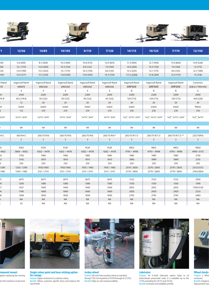





|              | 12/56                      | 14/85          | 10/105           | 9/110                      | 7/120                    | 14/115         | 10/125                                                                                                                                           | 7/170                      | 12/150                      |
|--------------|----------------------------|----------------|------------------|----------------------------|--------------------------|----------------|--------------------------------------------------------------------------------------------------------------------------------------------------|----------------------------|-----------------------------|
|              |                            |                |                  |                            |                          |                |                                                                                                                                                  |                            |                             |
| 50)          | 5.6 (200)                  | 8.5 (300)      | 10.3 (365)       | 10.6 (375)                 | 12.0 (425)               | 11.3 (400)     | 12.7 (450)                                                                                                                                       | 17.0 (600)                 | 14,9 (526)                  |
|              | 12.1(175)                  | 14.0 (200)     | 10.3 (150)       | 8.6 (125)                  | 7.0 (100)                | 14.0 (200)     | 10.3(150)                                                                                                                                        | 7.0 (100)                  | 12 (175)                    |
|              | 13.0 (190)                 | 15.5 (225)     | 12.1 (175)       | 10.3 (150)                 | 8.6 (125)                | 15.5 (225)     | 12.1 (175)                                                                                                                                       | 8.6 (125)                  | 12,7 (184)                  |
| 45)          | 15.0 (217)                 | 17.2 (250)     | 13.8 (200)       | 13.8 (200)                 | 10.3 (150)               | 17.2 (250)     | 13.8 (200)                                                                                                                                       | 12.0 (175)                 | 15 (218)                    |
|              |                            |                |                  |                            |                          |                |                                                                                                                                                  |                            |                             |
| Rand         | Ingersoll Rand             | Ingersoll Rand | Ingersoll Rand   | Ingersoll Rand             | Ingersoll Rand           | Ingersoll Rand | Ingersoll Rand                                                                                                                                   | Ingersoll Rand             | Cummins                     |
| <b>STE</b>   | 4IRI8TE                    | 4IRD5AE        | 4IRD5AE          | 4IRD5AE                    | 4IRD5AE                  | 6IRF8AE        | 6IRF8AE                                                                                                                                          | 6IRF8AE                    | QSB 6,7 FR91440             |
|              | $\overline{4}$             | $\overline{4}$ | $\overline{4}$   | $\overline{4}$             | $\overline{4}$           | - 6            | - 6                                                                                                                                              | 6                          | $6\overline{6}$             |
|              | 2300                       | 2200           | 2200             | 2200                       | 2200                     | 2200           | 2200                                                                                                                                             | 2200                       | 2000                        |
| '9.4)        | 59.2 (79.4)                | 93 (125)       | 93 (125)         | 93 (125)                   | 93 (125)                 | 129 (173)      | 129 (173)                                                                                                                                        | 129 (173)                  | 164 (220)                   |
|              | 12                         | 24             | 24               | 24                         | 24                       | 24             | 24                                                                                                                                               | 24                         | 24                          |
|              | water                      | water          | water            | water                      | water                    | water          | water                                                                                                                                            | water                      | Water                       |
|              | 112                        | 219            | 219              | 219                        | 219                      | 276            | 276                                                                                                                                              | 276                        | 310                         |
| $3x^{3/4}$ " | 1x1¼", 3x¾"                | 1x1¼", 3x¾"    | 1x1¼", 3x¾"      | 1x1¼", 3x¾"                | 1x1¼", 3x¾"              |                | $1x2$ ", $1x1\frac{1}{4}$ ", $2x\frac{3}{4}$ "   $1x2$ ", $1x1\frac{1}{4}$ ", $2x\frac{3}{4}$ "   $1x2$ ", $1x1\frac{1}{4}$ ", $2x\frac{3}{4}$ " |                            | $1x2$ ", $3x1\frac{1}{4}$ " |
|              |                            |                |                  |                            |                          |                |                                                                                                                                                  |                            |                             |
|              | 99                         | 99             | 99               | 99                         | 99                       | 99             | 99                                                                                                                                               | 99                         | 99                          |
|              |                            |                |                  |                            |                          |                |                                                                                                                                                  |                            |                             |
| 14 C         | 185 R14 C                  | 205/75 R16     | 205/75 R16       | 205/75 R16                 | 205/75 R16 *             | 205/75 R17.5   | 205/75 R17.5                                                                                                                                     | 205/75 R17.5 **            | 225/75R16                   |
|              | $\overline{\phantom{a}}$ 2 | $\overline{2}$ | $\overline{2}$   | $\overline{\phantom{a}}$ 2 | $\overline{\phantom{a}}$ | $\overline{2}$ | $\overline{\phantom{a}}$                                                                                                                         | $\overline{\phantom{a}}$ 2 | $\overline{\phantom{a}}$ 2  |
|              |                            |                |                  |                            |                          |                |                                                                                                                                                  |                            |                             |
|              | 3565                       | 4120           | 4120             | 4120                       | 4120                     | 4852           | 4852                                                                                                                                             | 4852                       | 4820                        |
| 4062         | $3806 \sim 4062$           | $4262 - 4478$  | $4262 \sim 4478$ | $4262 \sim 4478$           | $4262 \sim 4478$         | $4793 - 4998$  | $4793 - 4998$                                                                                                                                    | $4793 \sim 4998$           | 4995~5155                   |
|              | 1700                       | 1985           | 1985             | 1985                       | 1985                     | 1985           | 1985                                                                                                                                             | 1985                       | 2130                        |
|              | 1545                       | 1810           | 1810             | 1810                       | 1810                     | 1890           | 1890                                                                                                                                             | 1890                       | 2135                        |
|              | 250                        | 250            | 250              | 250                        | 250                      | 250            | 250                                                                                                                                              | 250                        | 293                         |
| 1290         | 1250 / 1290                | 1935/1965      | 1935/1965        | 1935 / 1965                | 1935 / 1965              | 2570 / 2650    | 2570 / 2650                                                                                                                                      | 2570 / 2650                | 2513/2572                   |
| 1385         | 1345 / 1385                | 2121 / 2151    | 2121 / 2151      | 2121 / 2151                | 2121 / 2151              | 2770 / 2850    | 2770 / 2850                                                                                                                                      | 2770 / 2850                | 2763/2824                   |
|              |                            |                |                  |                            |                          |                |                                                                                                                                                  |                            |                             |
|              | 2475                       | 2675           | 2675             | 2675                       | 2675                     | 3122           | 3122                                                                                                                                             | 3122                       | 3350                        |
|              | 1200                       | 1380           | 1380             | 1380                       | 1380                     | 1550           | 1550                                                                                                                                             | 1550                       | 1590                        |
|              | 1427                       | 1400           | 1400             | 1400                       | 1400                     | 2055           | 2055                                                                                                                                             | 2055                       | 1700/2130                   |
|              | 1196                       | 1660           | 1660             | 1660                       | 1660                     | 2420           | 2420                                                                                                                                             | 2420                       | 2233                        |
|              | 1296                       | 1830           | 1830             | 1830                       | 1830                     | 2745           | 2745                                                                                                                                             | 2745                       | 2483                        |
|              | <b>NA</b>                  | <b>NA</b>      | <b>NA</b>        | <b>NA</b>                  | <b>NA</b>                | <b>NA</b>      | <b>NA</b>                                                                                                                                        | <b>NA</b>                  | <b>NA</b>                   |
|              | 53                         | <b>NA</b>      | <b>NA</b>        | <b>NA</b>                  | <b>NA</b>                | <b>NA</b>      | <b>NA</b>                                                                                                                                        | <b>NA</b>                  | <b>NA</b>                   |



**Less Running Gear - Permanent mount FINATIONS THEATS**<br>Ipport replacing the running en the machine is to be truck



**Single colour paint and laser etching option for canopy** Feature: Upper enclosure to customer colour.

Benefit: Allows customer specific livery and reduces the risk of theft.



**Jockey wheel** Feature: All units have a jockey wheel as standard. (Except 7/20, not required on 9/270 through to 21/215). Benefit: Helps on-site manoeuvrability.



**Lubricator** Feature: An in-built lubricator option helps to oil downstream pneumatic tools. It is available up to the 7/170, excluding the 14/115 and 10/125. Benefit: Increases tool reliability and life.



**Wheel chocks**<br>Feature: 2 Whee enclosure. Benefit: A legal re help prevent mac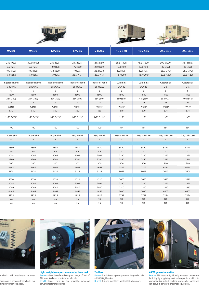





| 27.0 (950)<br>23.5 (825)<br>23.5 (825)<br>30.3 (1070)<br>33.1 (1170)<br>30.0 (1060)<br>21.5 (750)<br>36.8 (1300)<br>45.3 (1600)<br>25 (365)<br>8.6 (125)<br>8.6(125)<br>12.0 (175)<br>17.2 (250)<br>21.0 (300)<br>10.3 (150)<br>10.3 (150)<br>25 (365)<br>25.9 (375)<br>13.8 (200)<br>19 (275)<br>22.8 (330)<br>12.1 (175)<br>25.9 (375)<br>10.3 (150)<br>10.3 (150)<br>12.1 (175)<br>29.3 (425)<br>29.3 (425)<br>15.0 (217)<br>15.0 (217)<br>15.0 (217)<br>28.5 (413)<br>28.5 (413)<br>13.7 (200)<br>13.7 (200)<br>Ingersoll Rand<br>Ingersoll Rand<br>Caterpillar<br>Caterpillar<br>Ingersoll Rand<br>Ingersoll Rand<br>Cummins<br>Cummins<br>Ingersoll Rand<br><b>QSX 15</b><br>C15<br>C15<br>6IRQ9AE<br>6IRQ9AE<br>6IRQ9AE<br>6IRQ9AE<br>6IRQ9AE<br><b>QSX 15</b><br>6<br>6<br>6<br>$6\overline{6}$<br>6<br>6<br>6<br>1800<br>1800<br>1800<br>1800<br>1800<br>1800<br>1800<br>1800<br>1800<br>403 (540)<br>224 (300)<br>254 (340)<br>224 (300)<br>254 (340)<br>254 (340)<br>380 (510)<br>418 (560)<br>354 (475)<br>24<br>24<br>24<br>24<br>24<br>24<br>24<br>24<br>24<br>water<br>water<br>water<br>water<br>water<br>water<br>water<br>water<br>water<br>874<br>550<br>550<br>550<br>550<br>874<br>550<br>870<br>870<br>1x2", 3x11/4"<br>1x2", 3x11/4"<br>1x2", 3x1¼"<br>1x3"<br>1x3"<br>1x2", 3x11/4"<br>1x2", 3x11/4"<br>1x3"<br>1x3"<br>100<br>100<br>100<br>100<br><b>NA</b><br><b>NA</b><br><b>NA</b><br><b>NA</b><br>100<br>750/16 6PR<br>750/16 6PR<br>750/16 6PR<br>215/75R17.5H<br>215/75R17.5H<br>215/75R17.5H<br>750/16 6PR<br>215/75R17.5H<br>750/16 6PR<br>$\sim$ 4<br>$\sim$ 4<br>4<br>$\sim$ 4<br>$\overline{4}$<br>$\sim$ 4<br>$\sim$ 4<br>$\overline{4}$<br>$\overline{4}$<br>4850<br>4850<br>5840<br>5840<br>5840<br>5840<br>4850<br>4850<br>4850<br><b>NA</b><br><b>NA</b><br><b>NA</b><br><b>NA</b><br><b>NA</b><br><b>Contract Contract</b><br><b>Contractor</b><br>$\mathcal{L}_{\text{max}}$ and $\mathcal{L}_{\text{max}}$<br>$\mathcal{L}_{\rm{max}}$ and $\mathcal{L}_{\rm{max}}$<br>2290<br>2004<br>2004<br>2004<br>2004<br>2004<br>2290<br>2290<br>2290<br>2540<br>2540<br>2290<br>2290<br>2290<br>2290<br>2540<br>2540<br>2290<br>300<br>300<br>200<br>300<br>300<br>300<br>200<br>200<br>200<br>4665<br>7302<br>7302<br>6774<br>4665<br>4665<br>4665<br>4665<br>6774<br>5125<br>5125<br>5125<br>5125<br>5125<br>8069<br>7600<br>7600<br>8069<br>5670<br>5670<br>4520<br>4520<br>4520<br>4520<br>4520<br>5670<br>5670<br>2004<br>2004<br>2004<br>2004<br>2290<br>2290<br>2290<br>2290<br>2004<br>2210<br>2210<br>2210<br>2040<br>2040<br>2040<br>2040<br>2040<br>2210<br>6502<br>4465<br>4465<br>4465<br>4465<br>7030<br>7030<br>6502<br>4465<br>7797<br>4925<br>4925<br>4925<br>7797<br>7234<br>7234<br>4925<br>4925<br><b>NA</b><br><b>NA</b><br><b>NA</b><br><b>NA</b><br><b>NA</b><br><b>NA</b><br><b>NA</b><br><b>NA</b><br><b>NA</b><br><b>NA</b><br><b>NA</b><br><b>NA</b><br><b>NA</b><br><b>NA</b><br><b>NA</b><br><b>NA</b><br><b>NA</b><br><b>NA</b> | 25/300<br>25/330 | 10/455 | 10/370 | 21/215 | 17/235 | 12/235 | 9/300 | 9/270 |
|---------------------------------------------------------------------------------------------------------------------------------------------------------------------------------------------------------------------------------------------------------------------------------------------------------------------------------------------------------------------------------------------------------------------------------------------------------------------------------------------------------------------------------------------------------------------------------------------------------------------------------------------------------------------------------------------------------------------------------------------------------------------------------------------------------------------------------------------------------------------------------------------------------------------------------------------------------------------------------------------------------------------------------------------------------------------------------------------------------------------------------------------------------------------------------------------------------------------------------------------------------------------------------------------------------------------------------------------------------------------------------------------------------------------------------------------------------------------------------------------------------------------------------------------------------------------------------------------------------------------------------------------------------------------------------------------------------------------------------------------------------------------------------------------------------------------------------------------------------------------------------------------------------------------------------------------------------------------------------------------------------------------------------------------------------------------------------------------------------------------------------------------------------------------------------------------------------------------------------------------------------------------------------------------------------------------------------------------------------------------------------------------------------------------------------------------------------------------------------------------------------------------------------------------------------------------------------------------------------------------------------------------------------------------------------------------------------------------------------------------------------------------------------------------------------------------------------------------------------------------------------------------------------------------------------------------------------------------------------------------------|------------------|--------|--------|--------|--------|--------|-------|-------|
|                                                                                                                                                                                                                                                                                                                                                                                                                                                                                                                                                                                                                                                                                                                                                                                                                                                                                                                                                                                                                                                                                                                                                                                                                                                                                                                                                                                                                                                                                                                                                                                                                                                                                                                                                                                                                                                                                                                                                                                                                                                                                                                                                                                                                                                                                                                                                                                                                                                                                                                                                                                                                                                                                                                                                                                                                                                                                                                                                                                                   |                  |        |        |        |        |        |       |       |
|                                                                                                                                                                                                                                                                                                                                                                                                                                                                                                                                                                                                                                                                                                                                                                                                                                                                                                                                                                                                                                                                                                                                                                                                                                                                                                                                                                                                                                                                                                                                                                                                                                                                                                                                                                                                                                                                                                                                                                                                                                                                                                                                                                                                                                                                                                                                                                                                                                                                                                                                                                                                                                                                                                                                                                                                                                                                                                                                                                                                   |                  |        |        |        |        |        |       |       |
|                                                                                                                                                                                                                                                                                                                                                                                                                                                                                                                                                                                                                                                                                                                                                                                                                                                                                                                                                                                                                                                                                                                                                                                                                                                                                                                                                                                                                                                                                                                                                                                                                                                                                                                                                                                                                                                                                                                                                                                                                                                                                                                                                                                                                                                                                                                                                                                                                                                                                                                                                                                                                                                                                                                                                                                                                                                                                                                                                                                                   |                  |        |        |        |        |        |       |       |
|                                                                                                                                                                                                                                                                                                                                                                                                                                                                                                                                                                                                                                                                                                                                                                                                                                                                                                                                                                                                                                                                                                                                                                                                                                                                                                                                                                                                                                                                                                                                                                                                                                                                                                                                                                                                                                                                                                                                                                                                                                                                                                                                                                                                                                                                                                                                                                                                                                                                                                                                                                                                                                                                                                                                                                                                                                                                                                                                                                                                   |                  |        |        |        |        |        |       |       |
|                                                                                                                                                                                                                                                                                                                                                                                                                                                                                                                                                                                                                                                                                                                                                                                                                                                                                                                                                                                                                                                                                                                                                                                                                                                                                                                                                                                                                                                                                                                                                                                                                                                                                                                                                                                                                                                                                                                                                                                                                                                                                                                                                                                                                                                                                                                                                                                                                                                                                                                                                                                                                                                                                                                                                                                                                                                                                                                                                                                                   |                  |        |        |        |        |        |       |       |
|                                                                                                                                                                                                                                                                                                                                                                                                                                                                                                                                                                                                                                                                                                                                                                                                                                                                                                                                                                                                                                                                                                                                                                                                                                                                                                                                                                                                                                                                                                                                                                                                                                                                                                                                                                                                                                                                                                                                                                                                                                                                                                                                                                                                                                                                                                                                                                                                                                                                                                                                                                                                                                                                                                                                                                                                                                                                                                                                                                                                   |                  |        |        |        |        |        |       |       |
|                                                                                                                                                                                                                                                                                                                                                                                                                                                                                                                                                                                                                                                                                                                                                                                                                                                                                                                                                                                                                                                                                                                                                                                                                                                                                                                                                                                                                                                                                                                                                                                                                                                                                                                                                                                                                                                                                                                                                                                                                                                                                                                                                                                                                                                                                                                                                                                                                                                                                                                                                                                                                                                                                                                                                                                                                                                                                                                                                                                                   |                  |        |        |        |        |        |       |       |
|                                                                                                                                                                                                                                                                                                                                                                                                                                                                                                                                                                                                                                                                                                                                                                                                                                                                                                                                                                                                                                                                                                                                                                                                                                                                                                                                                                                                                                                                                                                                                                                                                                                                                                                                                                                                                                                                                                                                                                                                                                                                                                                                                                                                                                                                                                                                                                                                                                                                                                                                                                                                                                                                                                                                                                                                                                                                                                                                                                                                   |                  |        |        |        |        |        |       |       |
|                                                                                                                                                                                                                                                                                                                                                                                                                                                                                                                                                                                                                                                                                                                                                                                                                                                                                                                                                                                                                                                                                                                                                                                                                                                                                                                                                                                                                                                                                                                                                                                                                                                                                                                                                                                                                                                                                                                                                                                                                                                                                                                                                                                                                                                                                                                                                                                                                                                                                                                                                                                                                                                                                                                                                                                                                                                                                                                                                                                                   |                  |        |        |        |        |        |       |       |
|                                                                                                                                                                                                                                                                                                                                                                                                                                                                                                                                                                                                                                                                                                                                                                                                                                                                                                                                                                                                                                                                                                                                                                                                                                                                                                                                                                                                                                                                                                                                                                                                                                                                                                                                                                                                                                                                                                                                                                                                                                                                                                                                                                                                                                                                                                                                                                                                                                                                                                                                                                                                                                                                                                                                                                                                                                                                                                                                                                                                   |                  |        |        |        |        |        |       |       |
|                                                                                                                                                                                                                                                                                                                                                                                                                                                                                                                                                                                                                                                                                                                                                                                                                                                                                                                                                                                                                                                                                                                                                                                                                                                                                                                                                                                                                                                                                                                                                                                                                                                                                                                                                                                                                                                                                                                                                                                                                                                                                                                                                                                                                                                                                                                                                                                                                                                                                                                                                                                                                                                                                                                                                                                                                                                                                                                                                                                                   |                  |        |        |        |        |        |       |       |
|                                                                                                                                                                                                                                                                                                                                                                                                                                                                                                                                                                                                                                                                                                                                                                                                                                                                                                                                                                                                                                                                                                                                                                                                                                                                                                                                                                                                                                                                                                                                                                                                                                                                                                                                                                                                                                                                                                                                                                                                                                                                                                                                                                                                                                                                                                                                                                                                                                                                                                                                                                                                                                                                                                                                                                                                                                                                                                                                                                                                   |                  |        |        |        |        |        |       |       |
|                                                                                                                                                                                                                                                                                                                                                                                                                                                                                                                                                                                                                                                                                                                                                                                                                                                                                                                                                                                                                                                                                                                                                                                                                                                                                                                                                                                                                                                                                                                                                                                                                                                                                                                                                                                                                                                                                                                                                                                                                                                                                                                                                                                                                                                                                                                                                                                                                                                                                                                                                                                                                                                                                                                                                                                                                                                                                                                                                                                                   |                  |        |        |        |        |        |       |       |
|                                                                                                                                                                                                                                                                                                                                                                                                                                                                                                                                                                                                                                                                                                                                                                                                                                                                                                                                                                                                                                                                                                                                                                                                                                                                                                                                                                                                                                                                                                                                                                                                                                                                                                                                                                                                                                                                                                                                                                                                                                                                                                                                                                                                                                                                                                                                                                                                                                                                                                                                                                                                                                                                                                                                                                                                                                                                                                                                                                                                   |                  |        |        |        |        |        |       |       |
|                                                                                                                                                                                                                                                                                                                                                                                                                                                                                                                                                                                                                                                                                                                                                                                                                                                                                                                                                                                                                                                                                                                                                                                                                                                                                                                                                                                                                                                                                                                                                                                                                                                                                                                                                                                                                                                                                                                                                                                                                                                                                                                                                                                                                                                                                                                                                                                                                                                                                                                                                                                                                                                                                                                                                                                                                                                                                                                                                                                                   |                  |        |        |        |        |        |       |       |
|                                                                                                                                                                                                                                                                                                                                                                                                                                                                                                                                                                                                                                                                                                                                                                                                                                                                                                                                                                                                                                                                                                                                                                                                                                                                                                                                                                                                                                                                                                                                                                                                                                                                                                                                                                                                                                                                                                                                                                                                                                                                                                                                                                                                                                                                                                                                                                                                                                                                                                                                                                                                                                                                                                                                                                                                                                                                                                                                                                                                   |                  |        |        |        |        |        |       |       |
|                                                                                                                                                                                                                                                                                                                                                                                                                                                                                                                                                                                                                                                                                                                                                                                                                                                                                                                                                                                                                                                                                                                                                                                                                                                                                                                                                                                                                                                                                                                                                                                                                                                                                                                                                                                                                                                                                                                                                                                                                                                                                                                                                                                                                                                                                                                                                                                                                                                                                                                                                                                                                                                                                                                                                                                                                                                                                                                                                                                                   |                  |        |        |        |        |        |       |       |
|                                                                                                                                                                                                                                                                                                                                                                                                                                                                                                                                                                                                                                                                                                                                                                                                                                                                                                                                                                                                                                                                                                                                                                                                                                                                                                                                                                                                                                                                                                                                                                                                                                                                                                                                                                                                                                                                                                                                                                                                                                                                                                                                                                                                                                                                                                                                                                                                                                                                                                                                                                                                                                                                                                                                                                                                                                                                                                                                                                                                   |                  |        |        |        |        |        |       |       |
|                                                                                                                                                                                                                                                                                                                                                                                                                                                                                                                                                                                                                                                                                                                                                                                                                                                                                                                                                                                                                                                                                                                                                                                                                                                                                                                                                                                                                                                                                                                                                                                                                                                                                                                                                                                                                                                                                                                                                                                                                                                                                                                                                                                                                                                                                                                                                                                                                                                                                                                                                                                                                                                                                                                                                                                                                                                                                                                                                                                                   |                  |        |        |        |        |        |       |       |
|                                                                                                                                                                                                                                                                                                                                                                                                                                                                                                                                                                                                                                                                                                                                                                                                                                                                                                                                                                                                                                                                                                                                                                                                                                                                                                                                                                                                                                                                                                                                                                                                                                                                                                                                                                                                                                                                                                                                                                                                                                                                                                                                                                                                                                                                                                                                                                                                                                                                                                                                                                                                                                                                                                                                                                                                                                                                                                                                                                                                   |                  |        |        |        |        |        |       |       |
|                                                                                                                                                                                                                                                                                                                                                                                                                                                                                                                                                                                                                                                                                                                                                                                                                                                                                                                                                                                                                                                                                                                                                                                                                                                                                                                                                                                                                                                                                                                                                                                                                                                                                                                                                                                                                                                                                                                                                                                                                                                                                                                                                                                                                                                                                                                                                                                                                                                                                                                                                                                                                                                                                                                                                                                                                                                                                                                                                                                                   |                  |        |        |        |        |        |       |       |
|                                                                                                                                                                                                                                                                                                                                                                                                                                                                                                                                                                                                                                                                                                                                                                                                                                                                                                                                                                                                                                                                                                                                                                                                                                                                                                                                                                                                                                                                                                                                                                                                                                                                                                                                                                                                                                                                                                                                                                                                                                                                                                                                                                                                                                                                                                                                                                                                                                                                                                                                                                                                                                                                                                                                                                                                                                                                                                                                                                                                   |                  |        |        |        |        |        |       |       |
|                                                                                                                                                                                                                                                                                                                                                                                                                                                                                                                                                                                                                                                                                                                                                                                                                                                                                                                                                                                                                                                                                                                                                                                                                                                                                                                                                                                                                                                                                                                                                                                                                                                                                                                                                                                                                                                                                                                                                                                                                                                                                                                                                                                                                                                                                                                                                                                                                                                                                                                                                                                                                                                                                                                                                                                                                                                                                                                                                                                                   |                  |        |        |        |        |        |       |       |
|                                                                                                                                                                                                                                                                                                                                                                                                                                                                                                                                                                                                                                                                                                                                                                                                                                                                                                                                                                                                                                                                                                                                                                                                                                                                                                                                                                                                                                                                                                                                                                                                                                                                                                                                                                                                                                                                                                                                                                                                                                                                                                                                                                                                                                                                                                                                                                                                                                                                                                                                                                                                                                                                                                                                                                                                                                                                                                                                                                                                   |                  |        |        |        |        |        |       |       |
|                                                                                                                                                                                                                                                                                                                                                                                                                                                                                                                                                                                                                                                                                                                                                                                                                                                                                                                                                                                                                                                                                                                                                                                                                                                                                                                                                                                                                                                                                                                                                                                                                                                                                                                                                                                                                                                                                                                                                                                                                                                                                                                                                                                                                                                                                                                                                                                                                                                                                                                                                                                                                                                                                                                                                                                                                                                                                                                                                                                                   |                  |        |        |        |        |        |       |       |
|                                                                                                                                                                                                                                                                                                                                                                                                                                                                                                                                                                                                                                                                                                                                                                                                                                                                                                                                                                                                                                                                                                                                                                                                                                                                                                                                                                                                                                                                                                                                                                                                                                                                                                                                                                                                                                                                                                                                                                                                                                                                                                                                                                                                                                                                                                                                                                                                                                                                                                                                                                                                                                                                                                                                                                                                                                                                                                                                                                                                   |                  |        |        |        |        |        |       |       |
|                                                                                                                                                                                                                                                                                                                                                                                                                                                                                                                                                                                                                                                                                                                                                                                                                                                                                                                                                                                                                                                                                                                                                                                                                                                                                                                                                                                                                                                                                                                                                                                                                                                                                                                                                                                                                                                                                                                                                                                                                                                                                                                                                                                                                                                                                                                                                                                                                                                                                                                                                                                                                                                                                                                                                                                                                                                                                                                                                                                                   |                  |        |        |        |        |        |       |       |
|                                                                                                                                                                                                                                                                                                                                                                                                                                                                                                                                                                                                                                                                                                                                                                                                                                                                                                                                                                                                                                                                                                                                                                                                                                                                                                                                                                                                                                                                                                                                                                                                                                                                                                                                                                                                                                                                                                                                                                                                                                                                                                                                                                                                                                                                                                                                                                                                                                                                                                                                                                                                                                                                                                                                                                                                                                                                                                                                                                                                   |                  |        |        |        |        |        |       |       |
|                                                                                                                                                                                                                                                                                                                                                                                                                                                                                                                                                                                                                                                                                                                                                                                                                                                                                                                                                                                                                                                                                                                                                                                                                                                                                                                                                                                                                                                                                                                                                                                                                                                                                                                                                                                                                                                                                                                                                                                                                                                                                                                                                                                                                                                                                                                                                                                                                                                                                                                                                                                                                                                                                                                                                                                                                                                                                                                                                                                                   |                  |        |        |        |        |        |       |       |
|                                                                                                                                                                                                                                                                                                                                                                                                                                                                                                                                                                                                                                                                                                                                                                                                                                                                                                                                                                                                                                                                                                                                                                                                                                                                                                                                                                                                                                                                                                                                                                                                                                                                                                                                                                                                                                                                                                                                                                                                                                                                                                                                                                                                                                                                                                                                                                                                                                                                                                                                                                                                                                                                                                                                                                                                                                                                                                                                                                                                   |                  |        |        |        |        |        |       |       |
|                                                                                                                                                                                                                                                                                                                                                                                                                                                                                                                                                                                                                                                                                                                                                                                                                                                                                                                                                                                                                                                                                                                                                                                                                                                                                                                                                                                                                                                                                                                                                                                                                                                                                                                                                                                                                                                                                                                                                                                                                                                                                                                                                                                                                                                                                                                                                                                                                                                                                                                                                                                                                                                                                                                                                                                                                                                                                                                                                                                                   |                  |        |        |        |        |        |       |       |
|                                                                                                                                                                                                                                                                                                                                                                                                                                                                                                                                                                                                                                                                                                                                                                                                                                                                                                                                                                                                                                                                                                                                                                                                                                                                                                                                                                                                                                                                                                                                                                                                                                                                                                                                                                                                                                                                                                                                                                                                                                                                                                                                                                                                                                                                                                                                                                                                                                                                                                                                                                                                                                                                                                                                                                                                                                                                                                                                                                                                   |                  |        |        |        |        |        |       |       |
|                                                                                                                                                                                                                                                                                                                                                                                                                                                                                                                                                                                                                                                                                                                                                                                                                                                                                                                                                                                                                                                                                                                                                                                                                                                                                                                                                                                                                                                                                                                                                                                                                                                                                                                                                                                                                                                                                                                                                                                                                                                                                                                                                                                                                                                                                                                                                                                                                                                                                                                                                                                                                                                                                                                                                                                                                                                                                                                                                                                                   |                  |        |        |        |        |        |       |       |
|                                                                                                                                                                                                                                                                                                                                                                                                                                                                                                                                                                                                                                                                                                                                                                                                                                                                                                                                                                                                                                                                                                                                                                                                                                                                                                                                                                                                                                                                                                                                                                                                                                                                                                                                                                                                                                                                                                                                                                                                                                                                                                                                                                                                                                                                                                                                                                                                                                                                                                                                                                                                                                                                                                                                                                                                                                                                                                                                                                                                   |                  |        |        |        |        |        |       |       |
|                                                                                                                                                                                                                                                                                                                                                                                                                                                                                                                                                                                                                                                                                                                                                                                                                                                                                                                                                                                                                                                                                                                                                                                                                                                                                                                                                                                                                                                                                                                                                                                                                                                                                                                                                                                                                                                                                                                                                                                                                                                                                                                                                                                                                                                                                                                                                                                                                                                                                                                                                                                                                                                                                                                                                                                                                                                                                                                                                                                                   |                  |        |        |        |        |        |       |       |



I chocks with attachments to lower

quirement in Germany, these chocks can hine movement on a slope.



**Light weight compressor mounted hose reel** Feature: Allows the safe and compact storage of 20m of 3/4" hose. Available on certain models only. Benefit: Longer hose life and reliability, increased convenience for the operator.



Feature: A built-in storage compartment designed to take a IR30 (30 kg) breaker. Benefit: Reduced risk of theft and facilitates transport.



**6 kVA generator option**<br>Feature: This feature significantly increases compressor

flexibility by supplying electrical output in addition to compressed air output. Electrical tools or other appliances can be run in parallel to pneumatic equipment.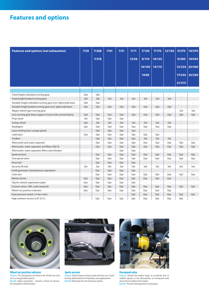## **Features and options**

| <b>Features and options (not exhaustive)</b>                   | 7/20                     | 7/26E                    | 7/41                     | $7/51$    | 7/71  | 7/120                    | 7/170                    | 12/150                   | 9/270                    | 10/370                   |
|----------------------------------------------------------------|--------------------------|--------------------------|--------------------------|-----------|-------|--------------------------|--------------------------|--------------------------|--------------------------|--------------------------|
|                                                                |                          | 7/31E                    |                          |           | 12/56 | 9/110                    | 10/125                   |                          | 9/300                    | 10/455                   |
|                                                                |                          |                          |                          |           |       | 10/105                   | 14/115                   |                          | 12/235                   | 25/300                   |
|                                                                |                          |                          |                          |           |       | 14/85                    |                          |                          | 17/235                   | 25/330                   |
|                                                                |                          |                          |                          |           |       |                          |                          |                          | 21/215                   |                          |
|                                                                |                          |                          |                          |           |       |                          |                          |                          |                          |                          |
| Fixed height unbraked running gear                             | Opt                      | Opt                      | $\overline{\phantom{a}}$ |           | ä,    | ä,                       | ä,                       |                          |                          |                          |
| Fixed height braked running gear                               | Std                      | Std                      | Std                      | Std       | Std   | Std                      | Std                      | Std                      | $\overline{a}$           |                          |
| Variable height unbraked running gear (incl. lights/side bars) | Opt                      | Opt                      | ÷,                       | $\bar{a}$ | à.    | L.                       | ÷,                       | $\overline{a}$           |                          |                          |
| Variable height braked running gear (incl. lights/side bars)   | Opt                      | Opt                      | Opt                      | Opt       | Opt   | Opt                      | Opt                      | Opt                      | $\overline{a}$           | ÷,                       |
| Wagon wheel type running gear                                  |                          | $\overline{\phantom{a}}$ | L.                       | ÷,        | ä,    | ä,                       | ÷,                       | ä,                       | Std                      | Std                      |
| Less running gear (base support mount with central drains)     | Opt                      | Opt                      | Opt                      | Opt       | Opt   | Opt                      | Opt                      | Opt                      | Opt                      | Opt                      |
| Prop stand                                                     | Std                      | Opt                      | Opt                      | Opt       | ä,    | ÷,                       | ä,                       | L                        |                          | Î,                       |
| Jockey wheel                                                   | Opt                      | Std                      | Std                      | Std       | Std   | Std                      | Std                      | Std                      |                          |                          |
| Roadlights                                                     | Opt                      | Opt                      | Opt                      | Opt       | Opt   | Opt                      | Opt                      | Opt                      | ä,                       |                          |
| Laser etching (rear canopy panel)                              |                          | Opt                      | Opt                      | Opt       | Opt   | $\overline{\phantom{a}}$ | $\overline{a}$           | $\overline{a}$           | $\overline{a}$           |                          |
| Lubricator                                                     | Opt                      | Opt                      | Opt                      | Opt       | Opt   | Opt                      | Opt                      | L.                       |                          |                          |
| Toolbox                                                        |                          | Opt                      | Opt                      | Opt       | Opt   | Std                      | Std                      | Std                      |                          |                          |
| Aftercooler and water separator                                |                          | Opt                      | Opt                      | Opt       | Opt   | Opt                      | Opt                      | Opt                      | Opt                      | Opt                      |
| Aftercooler, water separator and filters (IQ) CE               |                          | Opt                      | Opt                      | Opt       | Opt   | Opt                      | Opt                      | Opt                      | Opt                      | Opt                      |
| Aftercooler, water separator, filters and reheater             |                          | ÷.                       | ä,                       | Opt       | Opt   | ÷.                       | ä,                       | ×.                       |                          |                          |
| Spark arrestor                                                 | ÷,                       | Opt                      | Opt                      | Opt       | Opt   | Opt                      | Opt                      | Opt                      | Opt                      | Opt                      |
| Overspeed valve                                                |                          | Opt                      | Opt                      | Opt       | Opt   | Opt                      | Opt                      | Opt                      | Opt                      | Opt                      |
| Hose reel                                                      | $\overline{a}$           | Opt                      | Opt                      | Opt       | Opt   | $\overline{\phantom{a}}$ | $\overline{\phantom{a}}$ | $\overline{\phantom{a}}$ | $\overline{\phantom{a}}$ |                          |
| Security lift bail                                             | Std                      | Std                      | Std                      | Std       | Std   | Std                      | Std                      | Std                      | Std                      | Std                      |
| 6 kVA generator (simultaneous operation)                       | $\overline{\phantom{a}}$ | Opt                      | Opt                      | Opt       | Opt   | $\overline{\phantom{a}}$ | $\overline{\phantom{a}}$ | $\overline{\phantom{a}}$ |                          |                          |
| Cold start                                                     |                          | Opt                      | Opt                      | Opt       | Opt   | Opt                      | Opt                      | Opt                      | Opt                      | Opt                      |
| Wheel chocks                                                   | Opt                      | Opt                      | Opt                      | Opt       | Opt   | Opt                      | Opt                      | Opt                      | $\overline{\phantom{a}}$ | $\overline{\phantom{a}}$ |
| Clip for vehicle registration plate                            | Opt                      | Opt                      | Opt                      | Opt       | Opt   | ÷,                       |                          |                          |                          |                          |
| Custom colour (RAL code required)                              | Opt                      | Opt                      | Opt                      | Opt       | Opt   | Opt                      | Opt                      | Opt                      | Opt                      | Opt                      |
| Wheel nut position indicator                                   | Opt                      | Opt                      | Opt                      | Opt       | Opt   | Opt                      | Opt                      | Opt                      |                          | ÷,                       |
| Dual pressure switch (>7 bar units)                            |                          |                          |                          |           | Opt   | Opt                      | Opt                      | Opt                      | Opt                      | Opt                      |
| High ambient version (LAT 52°C)                                |                          | Opt                      | Opt                      | Opt       | Opt   | Opt                      | Opt                      | Opt                      | Opt                      |                          |



**Wheel nut position indicator** Feature: The checkpoints are fixed to the wheel nuts and set in a recognizable pattern.

Benefit: Safety precaution – should a wheel nut loosen, the set pattern will be broken.



#### **Spark arrestor**

Feature: Diesel engine exhaust spark arrestors are a basic but key safety feature for hazardous area applications. Benefit: Eliminates the risk of exhaust sparks.



**Overspeed valve**

Feature: Should the engine begin to accelerate due to volatile vapours in the atmosphere, an overspeed valve closes the air intake to the engine. Benefit: Prevents damage due to overspeed.